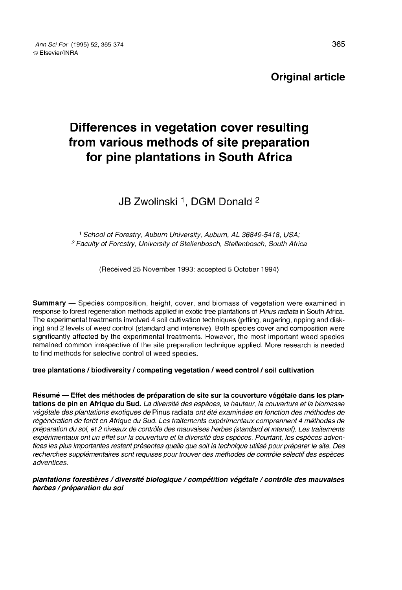Original article

# Differences in vegetation cover resulting from various methods of site preparation for pine plantations in South Africa

# JB Zwolinski<sup>1</sup>, DGM Donald <sup>2</sup>

<sup>1</sup> School of Forestry, Auburn University, Auburn, AL 36849-5418, USA; <sup>2</sup> Faculty of Forestry, University of Stellenbosch, Stellenbosch, South Africa

(Received 25 November 1993; accepted 5 October 1994)

Summary — Species composition, height, cover, and biomass of vegetation were examined in response to forest regeneration methods applied in exotic tree plantations of Pinus radiata in South Africa. The experimental treatments involved 4 soil cultivation techniques (pitting, augering, ripping and disking) and 2 levels of weed control (standard and intensive). Both species cover and composition were significantly affected by the experimental treatments. However, the most important weed species remained common irrespective of the site preparation technique applied. More research is needed to find methods for selective control of weed species.

# tree plantations / biodiversity / competing vegetation / weed control / soil cultivation

Résumé — Effet des méthodes de préparation de site sur la couverture végétale dans les plantations de pin en Afrique du Sud. La diversité des espèces, la hauteur, la couverture et la biomasse végétale des plantations exotiques de Pinus radiata ont été examinées en fonction des méthodes de régénération de forêt en Afrique du Sud. Les traitements expérimentaux comprennent 4 méthodes de préparation du sol, et 2 niveaux de contrôle des mauvaises herbes (standard et intensif). Les traitements expérimentaux ont un effet sur la couverture et la diversité des espèces. Pourtant, les espèces adventices les plus importantes restent présentes quelle que soit la technique utilisé pour préparer le site. Des recherches supplémentaires sont requises pour trouver des méthodes de contrôle sélectif des espèces adventices.

#### plantations forestières / diversité biologique / compétition végétale / contrôle des mauvaises herbes / préparation du sol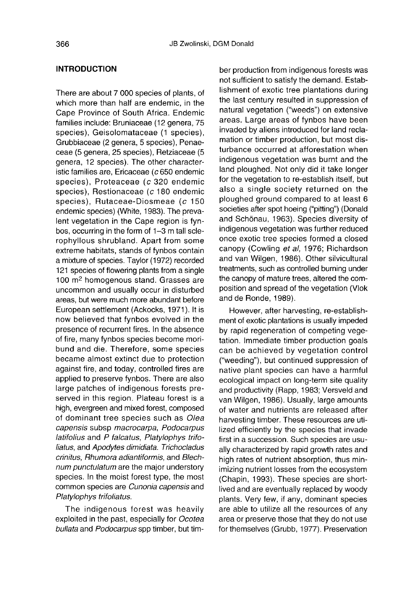## INTRODUCTION

There are about 7 000 species of plants, of which more than half are endemic, in the Cape Province of South Africa. Endemic families include: Bruniaceae (12 genera, 75 species), Geisolomataceae (1 species), Grubbiaceae (2 genera, 5 species), Penaeceae (5 genera, 25 species), Retziaceae (5 genera, 12 species). The other characteristic families are, Ericaceae ( $c$  650 endemic species), Proteaceae (c 320 endemic species), Restionaceae (c 180 endemic species), Rutaceae-Diosmeae (c 150 endemic species) (White, 1983). The prevalent vegetation in the Cape region is fynbos, occurring in the form of 1-3 m tall sclerophyllous shrubland. Apart from some extreme habitats, stands of fynbos contain a mixture of species. Taylor (1972) recorded 121 species of flowering plants from a single 100 m2 homogenous stand. Grasses are uncommon and usually occur in disturbed areas, but were much more abundant before European settlement (Ackocks, 1971). It is now believed that fynbos evolved in the presence of recurrent fires. In the absence of fire, many fynbos species become moribund and die. Therefore, some species became almost extinct due to protection against fire, and today, controlled fires are applied to preserve fynbos. There are also large patches of indigenous forests preserved in this region. Plateau forest is a high, evergreen and mixed forest, composed of dominant tree species such as Olea capensis subsp macrocarpa, Podocarpus latifolius and P falcatus, Platylophys trifoliatus, and Apodytes dimidiata. Trichocladus crinitus, Rhumora adiantiformis, and Blechnum punctulatum are the major understory species. In the moist forest type, the most common species are Cunonia capensis and Platylophys trifoliatus.

The indigenous forest was heavily exploited in the past, especially for Ocotea bullata and Podocarpus spp timber, but timber production from indigenous forests was not sufficient to satisfy the demand. Establishment of exotic tree plantations during the last century resulted in suppression of natural vegetation ("weeds") on extensive areas. Large areas of fynbos have been invaded by aliens introduced for land reclamation or timber production, but most disturbance occurred at afforestation when indigenous vegetation was burnt and the land ploughed. Not only did it take longer for the vegetation to re-establish itself, but also a single society returned on the ploughed ground compared to at least 6 societies after spot hoeing ("pitting") (Donald and Schönau, 1963). Species diversity of indigenous vegetation was further reduced once exotic tree species formed a closed canopy (Cowling et al, 1976; Richardson and van Wilgen, 1986). Other silvicultural treatments, such as controlled burning under the canopy of mature trees, altered the composition and spread of the vegetation (Vlok and de Ronde, 1989).

However, after harvesting, re-establishment of exotic plantations is usually impeded by rapid regeneration of competing vegetation. Immediate timber production goals can be achieved by vegetation control ("weeding"), but continued suppression of native plant species can have a harmful ecological impact on long-term site quality and productivity (Rapp, 1983; Versveld and van Wilgen, 1986). Usually, large amounts of water and nutrients are released after harvesting timber. These resources are utilized efficiently by the species that invade first in a succession. Such species are usually characterized by rapid growth rates and high rates of nutrient absorption, thus minimizing nutrient losses from the ecosystem (Chapin, 1993). These species are shortlived and are eventually replaced by woody plants. Very few, if any, dominant species are able to utilize all the resources of any area or preserve those that they do not use for themselves (Grubb, 1977). Preservation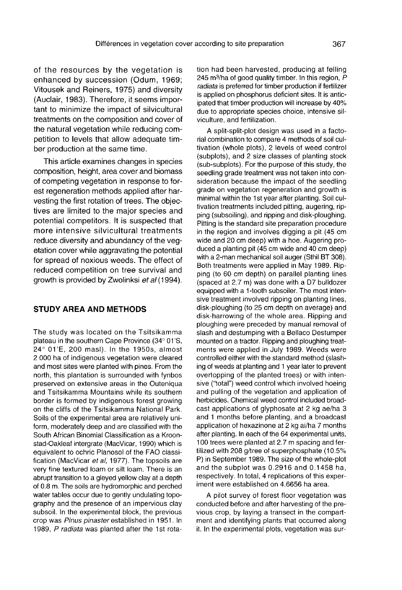of the resources by the vegetation is enhanced by succession (Odum, 1969; Vitousek and Reiners, 1975) and diversity (Auclair, 1983). Therefore, it seems important to minimize the impact of silvicultural treatments on the composition and cover of the natural vegetation while reducing competition to levels that allow adequate timber production at the same time.

This article examines changes in species composition, height, area cover and biomass of competing vegetation in response to forest regeneration methods applied after harvesting the first rotation of trees. The objectives are limited to the major species and potential competitors. It is suspected that more intensive silvicultural treatments reduce diversity and abundancy of the vegetation cover while aggravating the potential for spread of noxious weeds. The effect of reduced competition on tree survival and growth is provided by Zwolinksi et al (1994).

#### STUDY AREA AND METHODS

The study was located on the Tsitsikamma plateau in the southern Cape Province (34° 01'S, 24° 01'E, 200 masl). In the 1950s, almost 2 000 ha of indigenous vegetation were cleared and most sites were planted with pines. From the north, this plantation is surrounded with fynbos preserved on extensive areas in the Outeniqua and Tsitsikamma Mountains while its southern border is formed by indigenous forest growing on the cliffs of the Tsitsikamma National Park. Soils of the experimental area are relatively uniform, moderately deep and are classified with the South African Binomial Classification as a Kroonstad-Oakleaf intergrate (MacVicar, 1990) which is equivalent to ochric Planosol of the FAO classification (MacVicar et al, 1977). The topsoils are very fine textured loam or silt loam. There is an abrupt transition to a gleyed yellow clay at a depth of 0.8 m. The soils are hydromorphic and perched water tables occur due to gently undulating topography and the presence of an impervious clay subsoil. In the experimental block, the previous crop was Pinus pinaster established in 1951. In 1989, P radiata was planted after the 1st rotation had been harvested, producing at felling 245 m<sup>3</sup>/ha of good quality timber. In this region, P radiata is preferred for timber production if fertilizer is applied on phosphorus deficient sites. It is anticipated that timber production will increase by 40% due to appropriate species choice, intensive silviculture, and fertilization.

A split-split-plot design was used in a factorial combination to compare 4 methods of soil cultivation (whole plots), 2 levels of weed control (subplots), and 2 size classes of planting stock (sub-subplots). For the purpose of this study, the seedling grade treatment was not taken into consideration because the impact of the seedling grade on vegetation regeneration and growth is minimal within the 1 st year after planting. Soil cultivation treatments included pitting, augering, ripping (subsoiling), and ripping and disk-ploughing. Pitting is the standard site preparation procedure in the region and involves digging a pit (45 cm wide and 20 cm deep) with a hoe. Augering produced a planting pit (45 cm wide and 40 cm deep) with a 2-man mechanical soil auger (Sthil BT 308). Both treatments were applied in May 1989. Ripping (to 60 cm depth) on parallel planting lines (spaced at 2.7 m) was done with a D7 bulldozer equipped with a 1-tooth subsoiler. The most intensive treatment involved ripping on planting lines, disk-ploughing (to 25 cm depth on average) and disk-harrowing of the whole area. Ripping and ploughing were preceded by manual removal of slash and destumping with a Bellaco Destumper mounted on a tractor. Ripping and ploughing treatments were applied in July 1989. Weeds were controlled either with the standard method (slashing of weeds at planting and 1 year later to prevent overtopping of the planted trees) or with intensive ("total") weed control which involved hoeing and pulling of the vegetation and application of herbicides. Chemical weed control included broadcast applications of glyphosate at 2 kg ae/ha 3 and 1 months before planting, and a broadcast application of hexazinone at 2 kg ai/ha 7 months 100 trees were planted at 2.7 m spacing and fertilized with 208 g/tree of superphosphate (10.5% P) in September 1989. The size of the whole-plot and the subplot was 0.2916 and 0.1458 ha, respectively. In total, 4 replications of this experiment were established on 4.6656 ha area.

A pilot survey of forest floor vegetation was conducted before and after harvesting of the previous crop, by laying a transect in the compart ment and identifying plants that occurred along it. In the experimental plots, vegetation was sur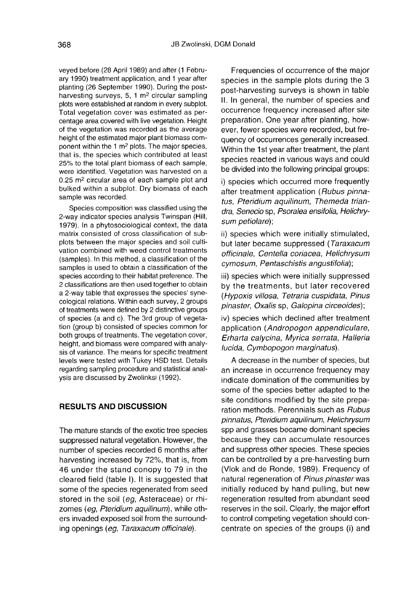veyed before (28 April 1989) and after (1 February 1990) treatment application, and 1 year after planting (26 September 1990). During the postharvesting surveys, 5, 1 m2 circular sampling plots were established at random in every subplot. Total vegetation cover was estimated as percentage area covered with live vegetation. Height of the vegetation was recorded as the average height of the estimated major plant biomass component within the 1 m2 plots. The major species, that is, the species which contributed at least 25% to the total plant biomass of each sample, were identified. Vegetation was harvested on a 0.25 m2 circular area of each sample plot and bulked within a subplot. Dry biomass of each sample was recorded.

Species composition was classified using the 2-way indicator species analysis Twinspan (Hill, 1979). In a phytosociological context, the data matrix consisted of cross classification of subplots between the major species and soil cultivation combined with weed control treatments (samples). In this method, a classification of the samples is used to obtain a classification of the species according to their habitat preference. The 2 classifications are then used together to obtain a 2-way table that expresses the species' synecological relations. Within each survey, 2 groups of treatments were defined by 2 distinctive groups of species (a and c). The 3rd group of vegetation (group b) consisted of species common for both groups of treatments. The vegetation cover, height, and biomass were compared with analysis of variance. The means for specific treatment levels were tested with Tukey HSD test. Details regarding sampling procedure and statistical analysis are discussed by Zwolinksi (1992).

# RESULTS AND DISCUSSION

The mature stands of the exotic tree species suppressed natural vegetation. However, the number of species recorded 6 months after harvesting increased by 72%, that is, from 46 under the stand conopy to 79 in the cleared field (table I). It is suggested that some of the species regenerated from seed stored in the soil (eg, Asteraceae) or rhizomes (eg, Pteridium aquilinum), while others invaded exposed soil from the surrounding openings (eg, Taraxacum officinale).

Frequencies of occurrence of the major species in the sample plots during the 3 post-harvesting surveys is shown in table II. In general, the number of species and occurrence frequency increased after site preparation. One year after planting, however, fewer species were recorded, but frequency of occurrences generally increased. Within the 1st year after treatment, the plant species reacted in various ways and could be divided into the following principal groups:

i) species which occurred more frequently after treatment application (Rubus pinnatus, Pteridium aquilinum, Themeda triandra, Senecio sp, Psoralea ensifolia, Helichry sum petiolare);

ii) species which were initially stimulated, but later became suppressed (Taraxacum officinale, Centella coriacea, Helichrysum cymosum, Pentaschistis angustifolia);

iii) species which were initially suppressed by the treatments, but later recovered (Hypoxis villosa, Tetraria cuspidata, Pinus pinaster, Oxalis sp, Galopina circeoides);

iv) species which declined after treatment application (Andropogon appendiculare, Erharta calycina, Myrica serrata, Halleria lucida, Cymbopogon marginatus).

A decrease in the number of species, but an increase in occurrence frequency may indicate domination of the communities by some of the species better adapted to the site conditions modified by the site preparation methods. Perennials such as Rubus pinnatus, Pteridium aquilinum, Helichrysum spp and grasses became dominant species because they can accumulate resources and suppress other species. These species can be controlled by a pre-harvesting burn (Vlok and de Ronde, 1989). Frequency of natural regeneration of Pinus pinaster was initially reduced by hand pulling, but new regeneration resulted from abundant seed reserves in the soil. Clearly, the major effort to control competing vegetation should concentrate on species of the groups (i) and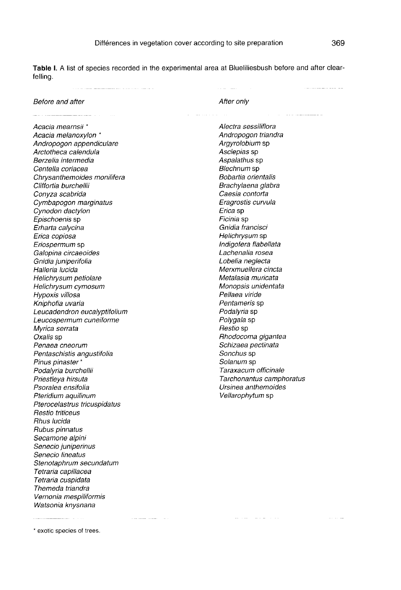Table I. A list of species recorded in the experimental area at Blueliliesbush before and after clearfelling.

|                              | contract and a           | the second company of the second |
|------------------------------|--------------------------|----------------------------------|
| Before and after             | After only               |                                  |
|                              |                          |                                  |
| Acacia mearnsii *            | Alectra sessiliflora     |                                  |
| Acacia melanoxylon *         | Andropogon triandra      |                                  |
| Andropogon appendiculare     | Argyrolobium sp          |                                  |
| Arctotheca calendula         | Asclepias sp             |                                  |
| Berzelia intermedia          | Aspalathus sp            |                                  |
| Centella coriacea            | Blechnum sp              |                                  |
| Chrysanthemoides monilifera  | Bobartia orientalis      |                                  |
| Cliffortia burchellii        | Brachylaena glabra       |                                  |
| Conyza scabrida              | Caesia contorta          |                                  |
| Cymbapogon marginatus        | Eragrostis curvula       |                                  |
| Cynodon dactylon             | Erica sp                 |                                  |
| <i>Epischoenis</i> sp        | Ficinia sp               |                                  |
| Erharta calycina             | Gnidia francisci         |                                  |
| Erica copiosa                | Helichrysum sp           |                                  |
| Eriospermum sp               | Indigofera flabellata    |                                  |
| Galopina circaeoides         | Lachenalia rosea         |                                  |
| Gnidia juniperifolia         | Lobelia neglecta         |                                  |
| Halleria lucida              | Merxmuellera cincta      |                                  |
| Helichrysum petiolare        | Metalasia muricata       |                                  |
| Helichrysum cymosum          | Monopsis unidentata      |                                  |
| Hypoxis villosa              | Pellaea viride           |                                  |
| Kniphofia uvaria             | Pentameris sp            |                                  |
| Leucadendron eucalyptifolium | <i>Podalyria</i> sp      |                                  |
| Leucospermum cuneiforme      | <i>Polygala</i> sp       |                                  |
| Myrica serrata               | <i>Restio</i> sp         |                                  |
| Oxalis sp                    | Rhodocoma gigantea       |                                  |
| Penaea cneorum               | Schizaea pectinata       |                                  |
| Pentaschistis angustifolia   | <i>Sonchus</i> sp        |                                  |
| Pinus pinaster *             | <i>Solanum</i> sp        |                                  |
| Podalyria burchellii         | Taraxacum officinale     |                                  |
| Priestleya hirsuta           | Tarchonantus camphoratus |                                  |
| Psoralea ensifolia           | Ursinea anthemoides      |                                  |
| Pteridium aquilinum          | Vellarophytum sp         |                                  |
| Pterocelastrus tricuspidatus |                          |                                  |
| Restio triticeus             |                          |                                  |
| Rhus Iucida                  |                          |                                  |
| Rubus pinnatus               |                          |                                  |
| Secamone alpini              |                          |                                  |
| Senecio juniperinus          |                          |                                  |
| Senecio lineatus             |                          |                                  |
| Stenotaphrum secundatum      |                          |                                  |
| Tetraria capillacea          |                          |                                  |
| Tetraria cuspidata           |                          |                                  |
| Themeda triandra             |                          |                                  |

\* exotic species of trees.

Vernonia mespiliformis Watsonia knysnana

المتعاون والمستشر

 $\label{eq:1} \begin{array}{lllllllllllll} \hline \textbf{1} & \textbf{1} & \textbf{1} & \textbf{1} & \textbf{1} & \textbf{1} & \textbf{1} & \textbf{1} & \textbf{1} & \textbf{1} & \textbf{1} & \textbf{1} & \textbf{1} & \textbf{1} & \textbf{1} & \textbf{1} & \textbf{1} & \textbf{1} & \textbf{1} & \textbf{1} & \textbf{1} & \textbf{1} & \textbf{1} & \textbf{1} & \textbf{1} & \textbf{1} & \textbf{1} & \textbf{1} & \$ 

 $\label{eq:1.1} \frac{1}{2} \left( \frac{1}{2} \left( \frac{1}{2} \right) \right) \left( \frac{1}{2} \left( \frac{1}{2} \right) \right) \left( \frac{1}{2} \left( \frac{1}{2} \right) \right)$ 

المتحدث الساعاسات السنادعيات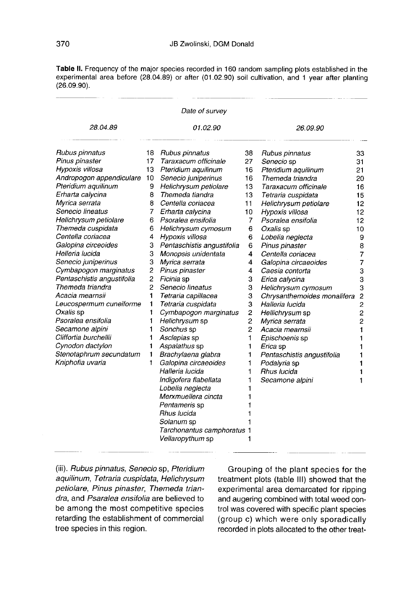Table II. Frequency of the major species recorded in 160 random sampling plots established in the experimental area before (28.04.89) or after (01.02.90) soil cultivation, and 1 year after planting  $(26.09.90)$ .

|                            |                | Date of survey             |          |                             |                |
|----------------------------|----------------|----------------------------|----------|-----------------------------|----------------|
| 28.04.89                   |                | 01.02.90                   | 26.09.90 |                             |                |
| Rubus pinnatus             | 18             | Rubus pinnatus             | 38       | Rubus pinnatus              | 33             |
| Pinus pinaster             | 17             | Taraxacum officinale       | 27       | Senecio sp                  | 31             |
| Hypoxis villosa            | 13             | Pteridium aquilinum        | 16       | Pteridium aquilinum         | 21             |
| Andropogon appendiculare   | 10             | Senecio juniperinus        | 16       | Themeda triandra            | 20             |
| Pteridium aquilinum        | 9              | Helichrysum petiolare      | 13       | Taraxacum officinale        | 16             |
| Erharta calycina           | 8              | Themeda tiandra            | 13       | Tetraria cuspidata          | 15             |
| Myrica serrata             | 8              | Centella coriacea          | 11       | Helichrysum petiolare       | 12             |
| Senecio lineatus           | 7              | Erharta calycina           | 10       | Hypoxis villosa             | 12             |
| Helichrysum petiolare      | 6              | Psoralea ensifolia         | 7        | Psoralea ensifolia          | 12             |
| Themeda cuspidata          | 6              | Helichrysum cymosum        | 6        | Oxalis sp                   | 10             |
| Centella coriacea          | 4              | Hypoxis villosa            | 6        | Lobelia neglecta            | 9              |
| Galopina circeoides        | 3              | Pentaschistis angustifolia | 6        | Pinus pinaster              | 8              |
| Helleria lucida            | 3              | Monopsis unidentata        | 4        | Centella coriacea           | $\overline{7}$ |
| Senecio juniperinus        | 3              | Myrica serrata             | 4        | Galopina circaeoides        | 7              |
| Cymbapogon marginatus      | $\overline{c}$ | Pinus pinaster             | 4        | Caesia contorta             | 3              |
| Pentaschistis angustifolia | $\overline{c}$ | Ficinia sp                 | 3        | Erica calycina              | 3              |
| Themeda triandra           | 2              | Senecio lineatus           | 3        | Helichrysum cymosum         | 3              |
| Acacia mearnsii            | 1              | Tetraria capillacea        | 3        | Chrysanthemoides monalifera | $\overline{c}$ |
| Leucospermum cuneiforme    | 1              | Tetraria cuspidata         | 3        | Halleria lucida             | $\overline{c}$ |
| Oxalis sp                  | 1              | Cymbapogon marginatus      | 2        | Hellichrysum sp             | 2              |
| Psoralea ensifolia         | 1              | Helichrysum sp             | 2        | Myrica serrata              | $\overline{2}$ |
| Secamone alpini            | 1              | Sonchus sp                 | 2        | Acacia mearnsii             | 1              |
| Cliffortia burchellii      | 1              | Asclepias sp               | 1        | Epischoenis sp              | 1              |
| Cynodon dactylon           | 1              | Aspalathus sp              | 1        | Erica sp                    | 1              |
| Stenotaphrum secundatum    | 1              | Brachylaena glabra         | 1        | Pentaschistis angustifolia  | 1              |
| Kniphofia uvaria           | 1              | Galopina circaeoides       | 1        | Podalyria sp                | 1              |
|                            |                | Halleria lucida            | 1        | Rhus Iucida                 | 1              |
|                            |                | Indigofera flabellata      | 1        | Secamone alpini             | 1              |
|                            |                | Lobelia neglecta           |          |                             |                |
|                            |                | Merxmuellera cincta        |          |                             |                |
|                            |                | Pentameris sp              |          |                             |                |
|                            |                | Rhus lucida                |          |                             |                |
|                            |                | Solanum sp                 |          |                             |                |
|                            |                | Tarchonantus camphoratus 1 |          |                             |                |
|                            |                | Vellaropythum sp           | 1        |                             |                |

(iii). Rubus pinnatus, Senecio sp, Pteridium aquilinum, Tetraria cuspidata, Helichrysum petiolare, Pinus pinaster, Themeda triandra, and Psaralea ensifolia are believed to be among the most competitive species retarding the establishment of commercial tree species in this region.

Grouping of the plant species for the treatment plots (table III) showed that the experimental area demarcated for ripping and augering combined with total weed control was covered with specific plant species (group c) which were only sporadically recorded in plots allocated to the other treat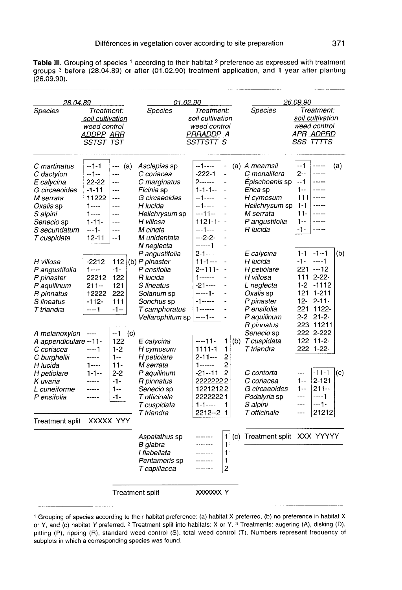Table III. Grouping of species 1 according to their habitat <sup>2</sup> preference as expressed with treatment groups <sup>3</sup> before (28.04.89) or after (01.02.90) treatment application, and 1 year after planting  $(26.09.90)$ .

| 28.04.89                                                                                                                                                   |                                                                                                              |                                                                                     | <i>01.02.90</i>                                                                                                                                                |                                                                                                                                         | 26.09.90                                                                                                                                                                  |                                                                                                                                                |                                                                                                                                                                           |  |
|------------------------------------------------------------------------------------------------------------------------------------------------------------|--------------------------------------------------------------------------------------------------------------|-------------------------------------------------------------------------------------|----------------------------------------------------------------------------------------------------------------------------------------------------------------|-----------------------------------------------------------------------------------------------------------------------------------------|---------------------------------------------------------------------------------------------------------------------------------------------------------------------------|------------------------------------------------------------------------------------------------------------------------------------------------|---------------------------------------------------------------------------------------------------------------------------------------------------------------------------|--|
| Species<br>Treatment:<br>soil cultivation<br>weed control<br><b>ADDPP ARR</b><br>SSTST TST                                                                 |                                                                                                              |                                                                                     | <b>Species</b>                                                                                                                                                 | Treatment:<br>soil cultivation<br>weed control<br>PRRADDP A<br>SSTTSTT S                                                                |                                                                                                                                                                           | <b>Species</b>                                                                                                                                 | Treatment:<br>soil cultivation<br>weed control<br>APR ADPRD<br>SSS TTTTS                                                                                                  |  |
| C martinatus<br>C dactylon<br>E calycina<br>G circaeoides<br>M serrata<br><i>Oxalis</i> sp<br>S alpini<br><i>Senecio</i> sp<br>S secundatum<br>T cuspidata | $-1-1$<br>$-1-$<br>22-22<br>$-1 - 11$<br>11222<br>$1 - - -$<br>$1 - - -$<br>$1 - 11 -$<br>---1-<br>$12 - 11$ | --- (a)<br>---<br>$\cdots$<br>$---$<br>$---$<br><br>---<br>$---$<br>---<br>--1      | Asclepias sp<br>C coriacea<br>C marginatus<br>Ficinia sp<br>G circaeoides<br>H lucida<br>Helichrysum sp<br>H villosa<br>M cincta<br>M unidentata<br>N neglecta | --1----<br>$-222 - 1$<br>$2$ ------<br>$1 - 1 - 1 -$<br>--1----<br>--1----<br>---11--<br>$1121 - 1 -$<br>---1---<br>$-.2-2-$<br>------1 | $\overline{\phantom{0}}$<br>÷,<br>$\overline{a}$<br>$\qquad \qquad \blacksquare$<br>$\blacksquare$<br>÷,<br>$\overline{a}$<br>-<br>$\ddot{\phantom{0}}$<br>$\blacksquare$ | (a) A mearnsii<br>C monalifera<br>Épischoenis sp<br>Erica sp<br>H cymosum<br>Helichrysum sp<br>M serrata<br>P angustifolia<br>R lucida         | --1<br>-----<br>(a)<br>2--<br>-----<br>--1<br>$1 - 1 - 1$<br>$1 -$<br>-----<br>111<br>$- - - - -$<br>$1 - 1$<br>$- - - - -$<br>$11 -$<br>-----<br>$1 -$<br>$-1-$<br>----- |  |
| H villosa<br>P angustifolia<br>P pinaster<br>P aquilinum<br>R pinnatus<br>S lineatus<br>T triandra                                                         | $-2212$<br>$1 - - -$<br>22212<br>211--<br>12222<br>$-112-$<br>$---1$                                         | 112<br>$-1-$<br>122<br>121<br>222<br>111<br>$-1-$                                   | P angustifolia<br>(b) P pinaster<br>P ensifolia<br>R lucida<br>S lineatus<br>Solanum sp<br>Sonchus sp<br>T camphoratus<br>Vellarophitum sp                     | $2 - 1 - - -$<br>$11 - 1 - -$<br>$2 - 111 -$<br>$1 - - - - -$<br>-21----<br>------1-<br>$-1$ -----<br>$--- 1 - -$                       | $\overline{a}$<br>-<br>$\blacksquare$<br>$\overline{a}$<br>L,<br>$\ddot{\phantom{0}}$<br>$\overline{\phantom{a}}$<br>$\overline{a}$<br>۰                                  | E calycina<br>H lucida<br>H petiolare<br>H villosa<br>L neglecta<br>Oxalis sp<br>P pinaster<br>P ensifolia<br>P aquilinum                      | $1 - 1 - 1 - 1$<br>(b)<br>$-1-$<br>$---1$<br>221 ---12<br>111 2-22-<br>$1-2$<br>$-1112$<br>121 1-211<br>12-<br>$2 - 11 -$<br>221 1122-<br>$2 - 2$ $21 - 2$                |  |
| A melanoxylon<br>A appendiculare --11-<br>C coriacea<br>C burghellii<br>H lucida<br>H petiolare<br>K uvaria<br>L cuneiforme<br>P ensifolia                 | $---$<br>----1<br>-----<br>$1 - - -$<br>$1 - 1 -$<br>-----                                                   | --1<br>(c)<br>122<br>$1-2$<br>$1 -$<br>$11 -$<br>$2 - 2$<br>$-1-$<br>$1 - -$<br>-1- | E calycina<br>H cymosum<br>H petiolare<br>M serrata<br>P aquilinum<br>R pinnatus<br>Senecio sp<br>T officinale<br>T cuspidata<br>T triandra                    | ----11-<br>1111-1<br>$2 - 11 -$<br>$1 - - - - -$<br>$-21 - 11$<br>22222222<br>12212122<br>22222221<br>$1 - 1 - - -$<br>2212--2          | $\mathbf{1}$<br>(b)<br>1<br>2<br>2<br>2<br>1<br>1                                                                                                                         | R pinnatus<br>Senecio sp<br>T cuspidata<br>T triandra<br>C contorta<br>C coriacea<br>G circaeoides<br>Podalyria sp<br>S alpini<br>T officinale | 223 11211<br>222 2-222<br>$122$ $11-2$<br>222 1-22-<br>$-11-1$<br>(c)<br><br>$2 - 121$<br>$1 - -$<br>$211 -$<br>1--<br>----1<br>$---$<br>$--1-$<br>$---$<br>21212<br>---  |  |
| <b>Treatment split</b>                                                                                                                                     |                                                                                                              | XXXXX YYY                                                                           | Aspalathus sp<br>B glabra<br>I flabellata<br>Pentameris sp<br>T capillacea                                                                                     | <br>-----<br>-------                                                                                                                    | 1<br>1<br>1<br>1<br>$\overline{c}$                                                                                                                                        | (c) Treatment split XXX YYYYY                                                                                                                  |                                                                                                                                                                           |  |
|                                                                                                                                                            |                                                                                                              | <b>Treatment split</b>                                                              |                                                                                                                                                                | XXXXXX Y                                                                                                                                |                                                                                                                                                                           |                                                                                                                                                |                                                                                                                                                                           |  |

<sup>1</sup> Grouping of species according to their habitat preference: (a) habitat X preferred, (b) no preference in habitat X or Y, and (c) habitat Y preferred. <sup>2</sup> Treatment split into habitats: X or Y. <sup>3</sup> Treatments: augering (A), disking (D), pitting (P), ripping (R), standard weed control (S), total weed control (T). Numbers represent frequency of subplots in which a corresponding species was found.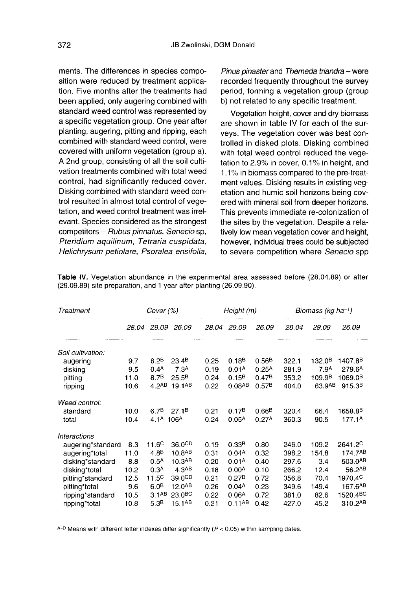ments. The differences in species composition were reduced by treatment application. Five months after the treatments had been applied, only augering combined with standard weed control was represented by a specific vegetation group. One year after planting, augering, pitting and ripping, each combined with standard weed control, were covered with uniform vegetation (group a). A 2nd group, consisting of all the soil cultivation treatments combined with total weed control, had significantly reduced cover. Disking combined with standard weed control resulted in almost total control of vegetation, and weed control treatment was irrelevant. Species considered as the strongest competitors - Rubus pinnatus, Senecio sp, Pteridium aquilinum, Tetraria cuspidata, Helichrysum petiolare, Psoralea ensifolia,

Pinus pinaster and Themeda triandra - were recorded frequently throughout the survey period, forming a vegetation group (group b) not related to any specific treatment.

Vegetation height, cover and dry biomass are shown in table IV for each of the surveys. The vegetation cover was best controlled in disked plots. Disking combined with total weed control reduced the vegetation to 2.9% in cover, 0.1% in height, and 1.1% in biomass compared to the pre-treatment values. Disking results in existing vegetation and humic soil horizons being covered with mineral soil from deeper horizons. This prevents immediate re-colonization of the sites by the vegetation. Despite a relatively low mean vegetation cover and height, however, individual trees could be subjected to severe competition where Senecio spp

 $\sim$   $\sim$ 

| Treatment         |       | Cover (%)                         |                    | Height (m) |                      |                   | Biomass (kg ha-1) |                    |                      |
|-------------------|-------|-----------------------------------|--------------------|------------|----------------------|-------------------|-------------------|--------------------|----------------------|
|                   | 28.04 | 29.09                             | 26.09              | 28.04      | 29.09                | 26.09             | 28.04             | 29.09              | 26.09                |
| Soil cultivation. |       |                                   |                    |            |                      |                   |                   |                    |                      |
| augering          | 9.7   | 8.2 <sup>B</sup>                  | 23.4 <sup>B</sup>  | 0.25       | 0.18 <sup>B</sup>    | 0.56B             | 322.1             | 132.0 <sup>B</sup> | 1407.8 <sup>B</sup>  |
| disking           | 9.5   | 0.4 <sup>A</sup>                  | 7.3 <sup>A</sup>   | 0.19       | 0.01 <sup>A</sup>    | 0.25 <sup>A</sup> | 281.9             | 7.9 <sup>A</sup>   | 279.6A               |
| pitting           | 11.0  | 8.7 <sup>B</sup>                  | 25.5 <sup>B</sup>  | 0.24       | 0.15B                | 0.47B             | 353.2             | 109.9 <sup>B</sup> | 1069.0 <sup>B</sup>  |
| ripping           | 10.6  | 4.2AB                             | 19.1 <sup>AB</sup> | 0.22       | $0.08$ <sup>AB</sup> | 0.57B             | 404.0             | 63.9AB             | 915.3 <sup>B</sup>   |
| Weed control:     |       |                                   |                    |            |                      |                   |                   |                    |                      |
| standard          | 10.0  | 6.7 <sup>B</sup>                  | 27.1 <sup>B</sup>  | 0.21       | 0.17B                | 0.66B             | 320.4             | 66.4               | 1658.8 <sup>B</sup>  |
| total             | 10.4  | 4.1 <sup>A</sup> 106 <sup>A</sup> |                    | 0.24       | 0.05 <sup>A</sup>    | 0.27 <sup>A</sup> | 360.3             | 90.5               | 177.1 <sup>A</sup>   |
| Interactions      |       |                                   |                    |            |                      |                   |                   |                    |                      |
| augering*standard | 8.3   | $11.6^{\circ}$                    | 36.0 <sup>CD</sup> | 0.19       | 0.33 <sup>B</sup>    | 0.80              | 246.0             | 109.2              | 2641.2 <sup>C</sup>  |
| augering*total    | 11.0  | 4.8 <sup>B</sup>                  | 10.8AB             | 0.31       | 0.04 <sup>A</sup>    | 0.32              | 398.2             | 154.8              | 174.7 <sup>AB</sup>  |
| disking*standard  | 8.8   | 0.5 <sup>A</sup>                  | 10.3 <sup>AB</sup> | 0.20       | 0.01 <sup>A</sup>    | 0.40              | 297.6             | 3.4                | 503.0AB              |
| disking*total     | 10.2  | 0.3 <sup>A</sup>                  | 4.3AB              | 0.18       | 0.00 <sup>A</sup>    | 0.10              | 266.2             | 12.4               | 56.2AB               |
| pitting*standard  | 12.5  | $11.5^{\circ}$                    | 39.0 <sup>CD</sup> | 0.21       | 0.27B                | 0.72              | 356.8             | 70.4               | 1970.4 <sup>C</sup>  |
| pitting*total     | 9.6   | 6.0 <sup>B</sup>                  | 12.0 <sup>AB</sup> | 0.26       | 0.04 <sup>A</sup>    | 0.23              | 349.6             | 149.4              | 167.6AB              |
| ripping*standard  | 10.5  | 3.1 <sup>AB</sup>                 | 23.0 <sup>BC</sup> | 0.22       | 0.06 <sup>A</sup>    | 0.72              | 381.0             | 82.6               | 1520.4 <sup>BC</sup> |
| ripping*total     | 10.8  | 5.3 <sup>B</sup>                  | $15.1^{AB}$        | 0.21       | 0.11AB               | 0.42              | 427.0             | 45.2               | 310.2AB              |

Table IV. Vegetation abundance in the experimental area assessed before (28.04.89) or after (29.09.89) site preparation, and 1 year after planting (26.09.90).

 $A-D$  Means with different letter indexes differ significantly ( $P < 0.05$ ) within sampling dates.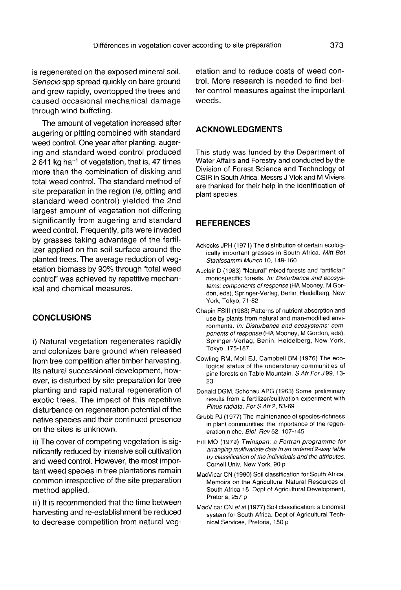is regenerated on the exposed mineral soil. Senecio spp spread quickly on bare ground and grew rapidly, overtopped the trees and caused occasional mechanical damage through wind buffeting.

The amount of vegetation increased after augering or pitting combined with standard weed control. One year after planting, augering and standard weed control produced 2 641 kg ha<sup>-1</sup> of vegetation, that is, 47 times more than the combination of disking and total weed control. The standard method of site preparation in the region (ie, pitting and standard weed control) yielded the 2nd largest amount of vegetation not differing significantly from augering and standard weed control. Frequently, pits were invaded by grasses taking advantage of the fertilizer applied on the soil surface around the planted trees. The average reduction of vegetation biomass by 90% through "total weed control" was achieved by repetitive mechanical and chemical measures.

# **CONCLUSIONS**

i) Natural vegetation regenerates rapidly and colonizes bare ground when released from tree competition after timber harvesting. Its natural successional development, however, is disturbed by site preparation for tree planting and rapid natural regeneration of exotic trees. The impact of this repetitive disturbance on regeneration potential of the native species and their continued presence on the sites is unknown.

ii) The cover of competing vegetation is significantly reduced by intensive soil cultivation and weed control. However, the most impor tant weed species in tree plantations remain common irrespective of the site preparation method applied.

iii) It is recommended that the time between harvesting and re-establishment be reduced to decrease competition from natural vegetation and to reduce costs of weed control. More research is needed to find better control measures against the important weeds.

# ACKNOWLEDGMENTS

This study was funded by the Department of Water Affairs and Forestry and conducted by the Division of Forest Science and Technology of CSIR in South Africa. Messrs J Vlok and M Viviers are thanked for their help in the identification of plant species.

## **REFERENCES**

- Ackocks JPH (1971) The distribution of certain ecologically important grasses in South Africa. Mitt Bot Staatssamml Munch 10, 149-160
- Auclair D (1983) "Natural" mixed forests and "artificial" monospecific forests. In: Disturbance and ecosystems: components of response (HA Mooney, M Gordon, eds), Springer-Verlag, Berlin, Heidelberg, New York, Tokyo, 71-82
- Chapin FSIII (1983) Patterns of nutrient absorption and use by plants from natural and man-modified environments. In: Disturbance and ecosystems: components of response (HA Mooney, M Gordon, eds), Springer-Verlag, Berlin, Heidelberg, New York, Tokyo, 175-187
- Cowling RM, Moll EJ, Campbell BM (1976) The ecological status of the understorey communities of pine forests on Table Mountain. S Afr For J 99, 13- 23
- Donald DGM, Schönau APG (1963) Some preliminary results from a fertilizer/cultivation experiment with Pinus radiata. For S Afr 2, 53-69
- Grubb PJ (1977) The maintenance of species-richness in plant communities: the importance of the regeneration niche. Biol Rev 52, 107-145
- Hill MO (1979) Twinspan: a Fortran programme for arranging multivariate data in an ordered 2-way table by classification of the individuals and the attributes. Cornell Univ, New York, 90 p
- MacVicar CN (1990) Soil classification for South Africa. Memoirs on the Agricultural Natural Resources of South Africa 15. Dept of Agricultural Development, Pretoria, 257 p
- MacVicar CN et al (1977) Soil classification: a binomial system for South Africa. Dept of Agricultural Technical Services, Pretoria, 150 p